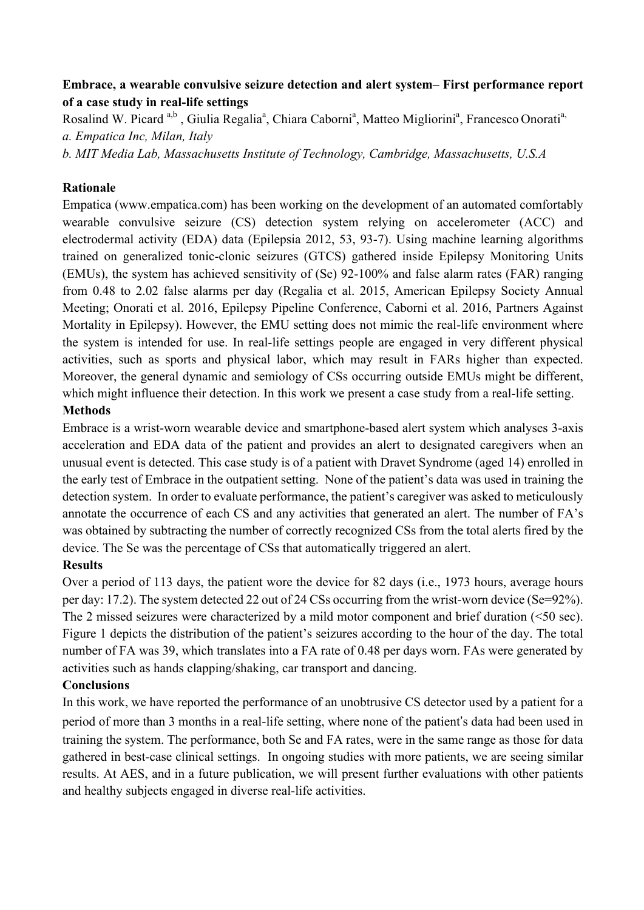## **Embrace, a wearable convulsive seizure detection and alert system– First performance report of a case study in real-life settings**

Rosalind W. Picard<sup>a,b</sup>, Giulia Regalia<sup>a</sup>, Chiara Caborni<sup>a</sup>, Matteo Migliorini<sup>a</sup>, Francesco Onorati<sup>a,</sup> *a. Empatica Inc, Milan, Italy*

*b. MIT Media Lab, Massachusetts Institute of Technology, Cambridge, Massachusetts, U.S.A* 

## **Rationale**

Empatica (www.empatica.com) has been working on the development of an automated comfortably wearable convulsive seizure (CS) detection system relying on accelerometer (ACC) and electrodermal activity (EDA) data (Epilepsia 2012, 53, 93-7). Using machine learning algorithms trained on generalized tonic-clonic seizures (GTCS) gathered inside Epilepsy Monitoring Units (EMUs), the system has achieved sensitivity of (Se) 92-100% and false alarm rates (FAR) ranging from 0.48 to 2.02 false alarms per day (Regalia et al. 2015, American Epilepsy Society Annual Meeting; Onorati et al. 2016, Epilepsy Pipeline Conference, Caborni et al. 2016, Partners Against Mortality in Epilepsy). However, the EMU setting does not mimic the real-life environment where the system is intended for use. In real-life settings people are engaged in very different physical activities, such as sports and physical labor, which may result in FARs higher than expected. Moreover, the general dynamic and semiology of CSs occurring outside EMUs might be different, which might influence their detection. In this work we present a case study from a real-life setting. **Methods** 

Embrace is a wrist-worn wearable device and smartphone-based alert system which analyses 3-axis acceleration and EDA data of the patient and provides an alert to designated caregivers when an unusual event is detected. This case study is of a patient with Dravet Syndrome (aged 14) enrolled in the early test of Embrace in the outpatient setting. None of the patient's data was used in training the detection system. In order to evaluate performance, the patient's caregiver was asked to meticulously annotate the occurrence of each CS and any activities that generated an alert. The number of FA's was obtained by subtracting the number of correctly recognized CSs from the total alerts fired by the device. The Se was the percentage of CSs that automatically triggered an alert.

## **Results**

Over a period of 113 days, the patient wore the device for 82 days (i.e., 1973 hours, average hours per day: 17.2). The system detected 22 out of 24 CSs occurring from the wrist-worn device (Se=92%). The 2 missed seizures were characterized by a mild motor component and brief duration (<50 sec). Figure 1 depicts the distribution of the patient's seizures according to the hour of the day. The total number of FA was 39, which translates into a FA rate of 0.48 per days worn. FAs were generated by activities such as hands clapping/shaking, car transport and dancing.

## **Conclusions**

In this work, we have reported the performance of an unobtrusive CS detector used by a patient for a period of more than 3 months in a real-life setting, where none of the patient's data had been used in training the system. The performance, both Se and FA rates, were in the same range as those for data gathered in best-case clinical settings. In ongoing studies with more patients, we are seeing similar results. At AES, and in a future publication, we will present further evaluations with other patients and healthy subjects engaged in diverse real-life activities.